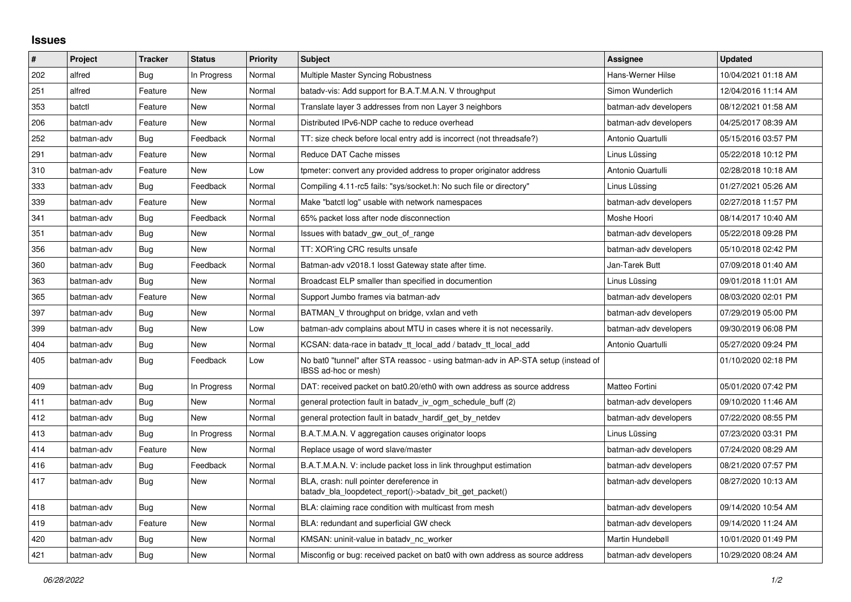## **Issues**

| $\pmb{\#}$ | Project    | <b>Tracker</b> | <b>Status</b> | Priority | <b>Subject</b>                                                                                            | <b>Assignee</b>       | <b>Updated</b>      |
|------------|------------|----------------|---------------|----------|-----------------------------------------------------------------------------------------------------------|-----------------------|---------------------|
| 202        | alfred     | Bug            | In Progress   | Normal   | <b>Multiple Master Syncing Robustness</b>                                                                 | Hans-Werner Hilse     | 10/04/2021 01:18 AM |
| 251        | alfred     | Feature        | New           | Normal   | batady-vis: Add support for B.A.T.M.A.N. V throughput                                                     | Simon Wunderlich      | 12/04/2016 11:14 AM |
| 353        | batctl     | Feature        | New           | Normal   | Translate layer 3 addresses from non Layer 3 neighbors                                                    | batman-adv developers | 08/12/2021 01:58 AM |
| 206        | batman-adv | Feature        | <b>New</b>    | Normal   | Distributed IPv6-NDP cache to reduce overhead                                                             | batman-adv developers | 04/25/2017 08:39 AM |
| 252        | batman-adv | Bug            | Feedback      | Normal   | TT: size check before local entry add is incorrect (not threadsafe?)                                      | Antonio Quartulli     | 05/15/2016 03:57 PM |
| 291        | batman-adv | Feature        | New           | Normal   | Reduce DAT Cache misses                                                                                   | Linus Lüssing         | 05/22/2018 10:12 PM |
| 310        | batman-adv | Feature        | New           | Low      | tpmeter: convert any provided address to proper originator address                                        | Antonio Quartulli     | 02/28/2018 10:18 AM |
| 333        | batman-adv | <b>Bug</b>     | Feedback      | Normal   | Compiling 4.11-rc5 fails: "sys/socket.h: No such file or directory"                                       | Linus Lüssing         | 01/27/2021 05:26 AM |
| 339        | batman-adv | Feature        | New           | Normal   | Make "batctl log" usable with network namespaces                                                          | batman-adv developers | 02/27/2018 11:57 PM |
| 341        | batman-adv | <b>Bug</b>     | Feedback      | Normal   | 65% packet loss after node disconnection                                                                  | Moshe Hoori           | 08/14/2017 10:40 AM |
| 351        | batman-adv | Bug            | <b>New</b>    | Normal   | Issues with batady gw out of range                                                                        | batman-adv developers | 05/22/2018 09:28 PM |
| 356        | batman-adv | Bug            | <b>New</b>    | Normal   | TT: XOR'ing CRC results unsafe                                                                            | batman-adv developers | 05/10/2018 02:42 PM |
| 360        | batman-adv | Bug            | Feedback      | Normal   | Batman-adv v2018.1 losst Gateway state after time.                                                        | Jan-Tarek Butt        | 07/09/2018 01:40 AM |
| 363        | batman-adv | Bug            | <b>New</b>    | Normal   | Broadcast ELP smaller than specified in documention                                                       | Linus Lüssing         | 09/01/2018 11:01 AM |
| 365        | batman-adv | Feature        | New           | Normal   | Support Jumbo frames via batman-adv                                                                       | batman-adv developers | 08/03/2020 02:01 PM |
| 397        | batman-adv | Bug            | <b>New</b>    | Normal   | BATMAN V throughput on bridge, vxlan and veth                                                             | batman-adv developers | 07/29/2019 05:00 PM |
| 399        | batman-adv | Bug            | New           | Low      | batman-adv complains about MTU in cases where it is not necessarily.                                      | batman-adv developers | 09/30/2019 06:08 PM |
| 404        | batman-adv | <b>Bug</b>     | <b>New</b>    | Normal   | KCSAN: data-race in batadv_tt_local_add / batadv_tt_local_add                                             | Antonio Quartulli     | 05/27/2020 09:24 PM |
| 405        | batman-adv | Bug            | Feedback      | Low      | No bat0 "tunnel" after STA reassoc - using batman-adv in AP-STA setup (instead of<br>IBSS ad-hoc or mesh) |                       | 01/10/2020 02:18 PM |
| 409        | batman-adv | Bug            | In Progress   | Normal   | DAT: received packet on bat0.20/eth0 with own address as source address                                   | Matteo Fortini        | 05/01/2020 07:42 PM |
| 411        | batman-adv | Bug            | <b>New</b>    | Normal   | general protection fault in batady iv ogm schedule buff (2)                                               | batman-adv developers | 09/10/2020 11:46 AM |
| 412        | batman-adv | Bug            | <b>New</b>    | Normal   | general protection fault in batady hardif get by netdev                                                   | batman-adv developers | 07/22/2020 08:55 PM |
| 413        | batman-adv | Bug            | In Progress   | Normal   | B.A.T.M.A.N. V aggregation causes originator loops                                                        | Linus Lüssina         | 07/23/2020 03:31 PM |
| 414        | batman-adv | Feature        | <b>New</b>    | Normal   | Replace usage of word slave/master                                                                        | batman-adv developers | 07/24/2020 08:29 AM |
| 416        | batman-adv | Bug            | Feedback      | Normal   | B.A.T.M.A.N. V: include packet loss in link throughput estimation                                         | batman-adv developers | 08/21/2020 07:57 PM |
| 417        | batman-adv | Bug            | <b>New</b>    | Normal   | BLA, crash: null pointer dereference in<br>batady bla loopdetect report()->batady bit get packet()        | batman-adv developers | 08/27/2020 10:13 AM |
| 418        | batman-adv | Bug            | <b>New</b>    | Normal   | BLA: claiming race condition with multicast from mesh                                                     | batman-adv developers | 09/14/2020 10:54 AM |
| 419        | batman-adv | Feature        | <b>New</b>    | Normal   | BLA: redundant and superficial GW check                                                                   | batman-adv developers | 09/14/2020 11:24 AM |
| 420        | batman-adv | <b>Bug</b>     | <b>New</b>    | Normal   | KMSAN: uninit-value in batady nc worker                                                                   | Martin Hundebøll      | 10/01/2020 01:49 PM |
| 421        | batman-adv | Bug            | New           | Normal   | Misconfig or bug: received packet on bat0 with own address as source address                              | batman-adv developers | 10/29/2020 08:24 AM |